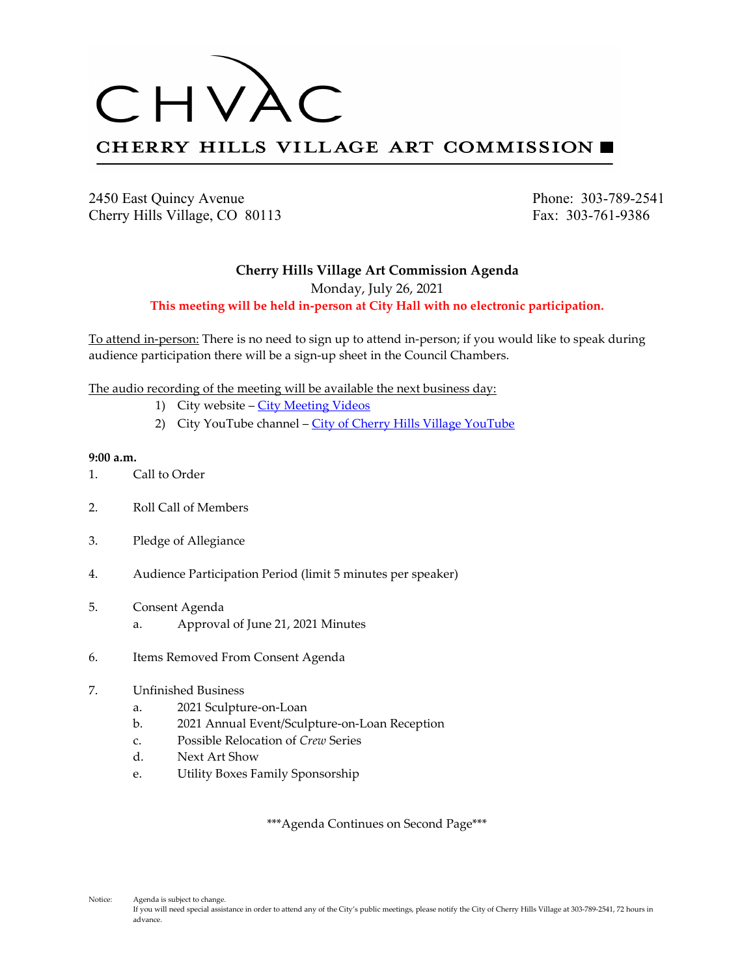

2450 East Quincy Avenue Phone: 303-789-2541 Cherry Hills Village, CO 80113 Fax: 303-761-9386

## **Cherry Hills Village Art Commission Agenda**

Monday, July 26, 2021

**This meeting will be held in-person at City Hall with no electronic participation.**

To attend in-person: There is no need to sign up to attend in-person; if you would like to speak during audience participation there will be a sign-up sheet in the Council Chambers.

The audio recording of the meeting will be available the next business day:

- 1) City website [City Meeting Videos](http://www.cherryhillsvillage.com/501/Council-Videos-Agendas-Packets-Minutes)
- 2) City YouTube channel [City of Cherry Hills Village YouTube](https://www.youtube.com/channel/UCHY4MgJ1gekrqDW949gW7Gw)

### **9:00 a.m.**

- 1. Call to Order
- 2. Roll Call of Members
- 3. Pledge of Allegiance
- 4. Audience Participation Period (limit 5 minutes per speaker)
- 5. Consent Agenda a. Approval of June 21, 2021 Minutes
- 6. Items Removed From Consent Agenda

## 7. Unfinished Business

- a. 2021 Sculpture-on-Loan
- b. 2021 Annual Event/Sculpture-on-Loan Reception
- c. Possible Relocation of *Crew* Series
- d. Next Art Show
- e. Utility Boxes Family Sponsorship

\*\*\*Agenda Continues on Second Page\*\*\*

Notice: Agenda is subject to change. If you will need special assistance in order to attend any of the City's public meetings, please notify the City of Cherry Hills Village at 303-789-2541, 72 hours in advance.